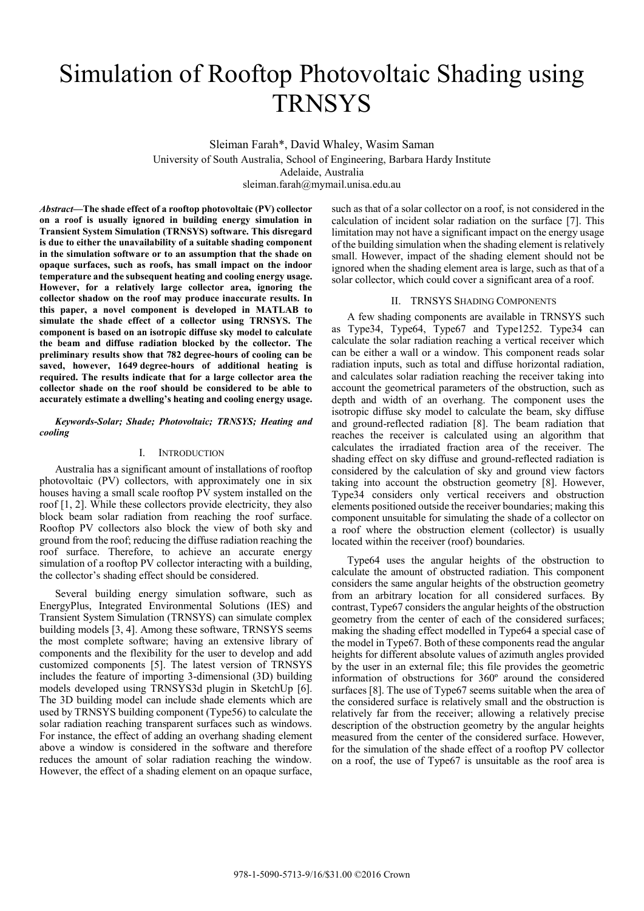# Simulation of Rooftop Photovoltaic Shading using **TRNSYS**

Sleiman Farah\*, David Whaley, Wasim Saman

University of South Australia, School of Engineering, Barbara Hardy Institute Adelaide, Australia sleiman.farah@mymail.unisa.edu.au

*Abstract***—The shade effect of a rooftop photovoltaic (PV) collector on a roof is usually ignored in building energy simulation in Transient System Simulation (TRNSYS) software. This disregard is due to either the unavailability of a suitable shading component in the simulation software or to an assumption that the shade on opaque surfaces, such as roofs, has small impact on the indoor temperature and the subsequent heating and cooling energy usage. However, for a relatively large collector area, ignoring the collector shadow on the roof may produce inaccurate results. In this paper, a novel component is developed in MATLAB to simulate the shade effect of a collector using TRNSYS. The component is based on an isotropic diffuse sky model to calculate the beam and diffuse radiation blocked by the collector. The preliminary results show that 782 degree-hours of cooling can be saved, however, 1649 degree-hours of additional heating is required. The results indicate that for a large collector area the collector shade on the roof should be considered to be able to accurately estimate a dwelling's heating and cooling energy usage.**

*Keywords-Solar; Shade; Photovoltaic; TRNSYS; Heating and cooling* 

## I. INTRODUCTION

Australia has a significant amount of installations of rooftop photovoltaic (PV) collectors, with approximately one in six houses having a small scale rooftop PV system installed on the roof [1, 2]. While these collectors provide electricity, they also block beam solar radiation from reaching the roof surface. Rooftop PV collectors also block the view of both sky and ground from the roof; reducing the diffuse radiation reaching the roof surface. Therefore, to achieve an accurate energy simulation of a rooftop PV collector interacting with a building, the collector's shading effect should be considered.

Several building energy simulation software, such as EnergyPlus, Integrated Environmental Solutions (IES) and Transient System Simulation (TRNSYS) can simulate complex building models [3, 4]. Among these software, TRNSYS seems the most complete software; having an extensive library of components and the flexibility for the user to develop and add customized components [5]. The latest version of TRNSYS includes the feature of importing 3-dimensional (3D) building models developed using TRNSYS3d plugin in SketchUp [6]. The 3D building model can include shade elements which are used by TRNSYS building component (Type56) to calculate the solar radiation reaching transparent surfaces such as windows. For instance, the effect of adding an overhang shading element above a window is considered in the software and therefore reduces the amount of solar radiation reaching the window. However, the effect of a shading element on an opaque surface,

such as that of a solar collector on a roof, is not considered in the calculation of incident solar radiation on the surface [7]. This limitation may not have a significant impact on the energy usage of the building simulation when the shading element is relatively small. However, impact of the shading element should not be ignored when the shading element area is large, such as that of a solar collector, which could cover a significant area of a roof.

## II. TRNSYS SHADING COMPONENTS

A few shading components are available in TRNSYS such as Type34, Type64, Type67 and Type1252. Type34 can calculate the solar radiation reaching a vertical receiver which can be either a wall or a window. This component reads solar radiation inputs, such as total and diffuse horizontal radiation, and calculates solar radiation reaching the receiver taking into account the geometrical parameters of the obstruction, such as depth and width of an overhang. The component uses the isotropic diffuse sky model to calculate the beam, sky diffuse and ground-reflected radiation [8]. The beam radiation that reaches the receiver is calculated using an algorithm that calculates the irradiated fraction area of the receiver. The shading effect on sky diffuse and ground-reflected radiation is considered by the calculation of sky and ground view factors taking into account the obstruction geometry [8]. However, Type34 considers only vertical receivers and obstruction elements positioned outside the receiver boundaries; making this component unsuitable for simulating the shade of a collector on a roof where the obstruction element (collector) is usually located within the receiver (roof) boundaries.

Type64 uses the angular heights of the obstruction to calculate the amount of obstructed radiation. This component considers the same angular heights of the obstruction geometry from an arbitrary location for all considered surfaces. By contrast, Type67 considers the angular heights of the obstruction geometry from the center of each of the considered surfaces; making the shading effect modelled in Type64 a special case of the model in Type67. Both of these components read the angular heights for different absolute values of azimuth angles provided by the user in an external file; this file provides the geometric information of obstructions for 360º around the considered surfaces [8]. The use of Type67 seems suitable when the area of the considered surface is relatively small and the obstruction is relatively far from the receiver; allowing a relatively precise description of the obstruction geometry by the angular heights measured from the center of the considered surface. However, for the simulation of the shade effect of a rooftop PV collector on a roof, the use of Type67 is unsuitable as the roof area is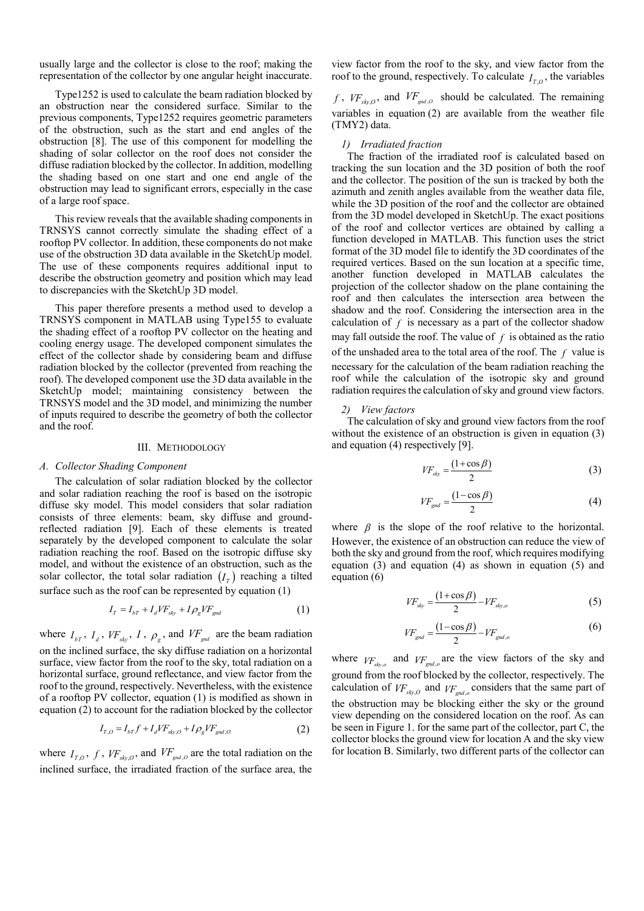usually large and the collector is close to the roof; making the representation of the collector by one angular height inaccurate.

Type1252 is used to calculate the beam radiation blocked by an obstruction near the considered surface. Similar to the previous components, Type1252 requires geometric parameters of the obstruction, such as the start and end angles of the obstruction [8]. The use of this component for modelling the shading of solar collector on the roof does not consider the diffuse radiation blocked by the collector. In addition, modelling the shading based on one start and one end angle of the obstruction may lead to significant errors, especially in the case of a large roof space.

This review reveals that the available shading components in TRNSYS cannot correctly simulate the shading effect of a rooftop PV collector. In addition, these components do not make use of the obstruction 3D data available in the SketchUp model. The use of these components requires additional input to describe the obstruction geometry and position which may lead to discrepancies with the SketchUp 3D model.

This paper therefore presents a method used to develop a TRNSYS component in MATLAB using Type155 to evaluate the shading effect of a rooftop PV collector on the heating and cooling energy usage. The developed component simulates the effect of the collector shade by considering beam and diffuse radiation blocked by the collector (prevented from reaching the roof). The developed component use the 3D data available in the SketchUp model; maintaining consistency between the TRNSYS model and the 3D model, and minimizing the number of inputs required to describe the geometry of both the collector and the roof.

#### III. METHODOLOGY

### *A. Collector Shading Component*

The calculation of solar radiation blocked by the collector and solar radiation reaching the roof is based on the isotropic diffuse sky model. This model considers that solar radiation consists of three elements: beam, sky diffuse and groundreflected radiation [9]. Each of these elements is treated separately by the developed component to calculate the solar radiation reaching the roof. Based on the isotropic diffuse sky model, and without the existence of an obstruction, such as the solar collector, the total solar radiation  $(I_T)$  reaching a tilted surface such as the roof can be represented by equation (1)

$$
I_T = I_{bT} + I_d V F_{sky} + I \rho_g V F_{gnd} \tag{1}
$$

where  $I_{bT}$ ,  $I_d$ ,  $VF_{sky}$ ,  $I$ ,  $\rho_g$ , and  $VF_{gnd}$  are the beam radiation on the inclined surface, the sky diffuse radiation on a horizontal surface, view factor from the roof to the sky, total radiation on a horizontal surface, ground reflectance, and view factor from the roof to the ground, respectively. Nevertheless, with the existence of a rooftop PV collector, equation (1) is modified as shown in equation (2) to account for the radiation blocked by the collector<br>  $I_{T, O} = I_{bT}f + I_dVF_{\text{sty}, O} + I\rho_gVF_{\text{grad}, O}$  (2)

$$
I_{T,O} = I_{bT}f + I_d V F_{sky,O} + I \rho_g V F_{gnd,O}
$$
 (2)

where  $I_{T,0}$ ,  $f$ ,  $V_{T_{sky,0}}$ , and  $V_{T_{gnd,0}}$  are the total radiation on the inclined surface, the irradiated fraction of the surface area, the

view factor from the roof to the sky, and view factor from the roof to the ground, respectively. To calculate  $I_{T,0}$ , the variables

*f*,  $VF_{sky,O}$ , and  $VF_{grad,O}$  should be calculated. The remaining variables in equation (2) are available from the weather file (TMY2) data.

#### *1) Irradiated fraction*

The fraction of the irradiated roof is calculated based on tracking the sun location and the 3D position of both the roof and the collector. The position of the sun is tracked by both the azimuth and zenith angles available from the weather data file, while the 3D position of the roof and the collector are obtained from the 3D model developed in SketchUp. The exact positions of the roof and collector vertices are obtained by calling a function developed in MATLAB. This function uses the strict format of the 3D model file to identify the 3D coordinates of the required vertices. Based on the sun location at a specific time, another function developed in MATLAB calculates the projection of the collector shadow on the plane containing the roof and then calculates the intersection area between the shadow and the roof. Considering the intersection area in the calculation of  $f$  is necessary as a part of the collector shadow may fall outside the roof. The value of  $f$  is obtained as the ratio of the unshaded area to the total area of the roof. The  $f$  value is necessary for the calculation of the beam radiation reaching the roof while the calculation of the isotropic sky and ground radiation requires the calculation of sky and ground view factors.

#### *2) View factors*

The calculation of sky and ground view factors from the roof without the existence of an obstruction is given in equation (3) and equation (4) respectively [9].

$$
VF_{\text{sky}} = \frac{(1 + \cos \beta)}{2} \tag{3}
$$

$$
VF_{\rm gnd} = \frac{(1 - \cos \beta)}{2} \tag{4}
$$

where  $\beta$  is the slope of the roof relative to the horizontal. However, the existence of an obstruction can reduce the view of both the sky and ground from the roof, which requires modifying equation (3) and equation (4) as shown in equation (5) and equation  $(6)$ 

$$
VF_{sky} = \frac{(1 + \cos \beta)}{2} - VF_{sky,o}
$$
 (5)

$$
VF_{\rm gnd} = \frac{(1 - \cos \beta)}{2} - VF_{\rm gnd,o} \tag{6}
$$

where  $V_{F_{\text{sky},o}}$  and  $V_{F_{\text{gnd},o}}$  are the view factors of the sky and ground from the roof blocked by the collector, respectively. The calculation of  $V\!F_{\text{sky},O}$  and  $V\!F_{\text{gnd},O}$  considers that the same part of the obstruction may be blocking either the sky or the ground view depending on the considered location on the roof. As can be seen in Figure 1. for the same part of the collector, part C, the collector blocks the ground view for location A and the sky view for location B. Similarly, two different parts of the collector can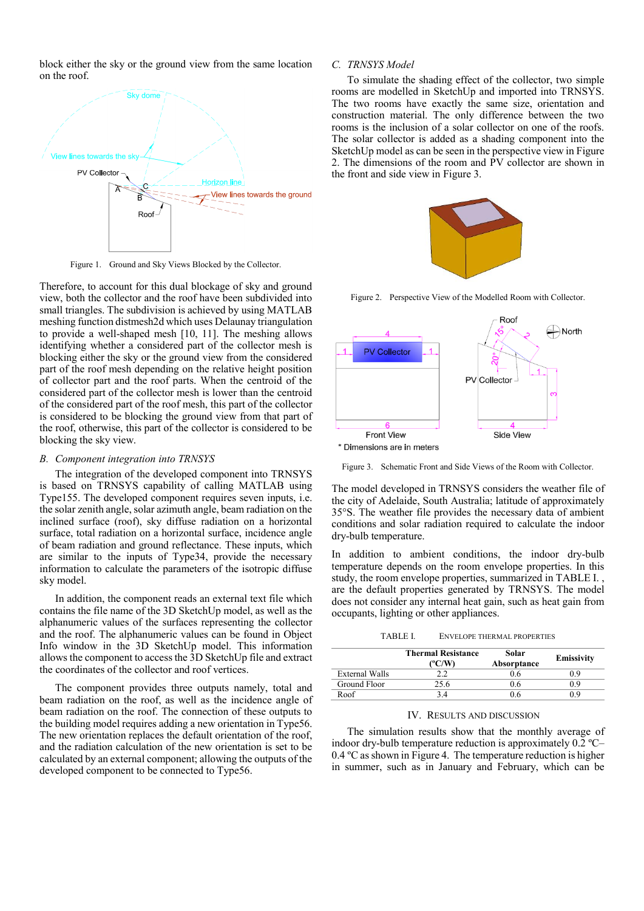block either the sky or the ground view from the same location on the roof.



Figure 1. Ground and Sky Views Blocked by the Collector.

Therefore, to account for this dual blockage of sky and ground view, both the collector and the roof have been subdivided into small triangles. The subdivision is achieved by using MATLAB meshing function distmesh2d which uses Delaunay triangulation to provide a well-shaped mesh [10, 11]. The meshing allows identifying whether a considered part of the collector mesh is blocking either the sky or the ground view from the considered part of the roof mesh depending on the relative height position of collector part and the roof parts. When the centroid of the considered part of the collector mesh is lower than the centroid of the considered part of the roof mesh, this part of the collector is considered to be blocking the ground view from that part of the roof, otherwise, this part of the collector is considered to be blocking the sky view.

## *B. Component integration into TRNSYS*

The integration of the developed component into TRNSYS is based on TRNSYS capability of calling MATLAB using Type155. The developed component requires seven inputs, i.e. the solar zenith angle, solar azimuth angle, beam radiation on the inclined surface (roof), sky diffuse radiation on a horizontal surface, total radiation on a horizontal surface, incidence angle of beam radiation and ground reflectance. These inputs, which are similar to the inputs of Type34, provide the necessary information to calculate the parameters of the isotropic diffuse sky model.

In addition, the component reads an external text file which contains the file name of the 3D SketchUp model, as well as the alphanumeric values of the surfaces representing the collector and the roof. The alphanumeric values can be found in Object Info window in the 3D SketchUp model. This information allows the component to access the 3D SketchUp file and extract the coordinates of the collector and roof vertices.

The component provides three outputs namely, total and beam radiation on the roof, as well as the incidence angle of beam radiation on the roof. The connection of these outputs to the building model requires adding a new orientation in Type56. The new orientation replaces the default orientation of the roof, and the radiation calculation of the new orientation is set to be calculated by an external component; allowing the outputs of the developed component to be connected to Type56.

## *C. TRNSYS Model*

To simulate the shading effect of the collector, two simple rooms are modelled in SketchUp and imported into TRNSYS. The two rooms have exactly the same size, orientation and construction material. The only difference between the two rooms is the inclusion of a solar collector on one of the roofs. The solar collector is added as a shading component into the SketchUp model as can be seen in the perspective view in Figure 2. The dimensions of the room and PV collector are shown in the front and side view in Figure 3.



Figure 2. Perspective View of the Modelled Room with Collector.



Figure 3. Schematic Front and Side Views of the Room with Collector.

The model developed in TRNSYS considers the weather file of the city of Adelaide, South Australia; latitude of approximately 35°S. The weather file provides the necessary data of ambient conditions and solar radiation required to calculate the indoor dry-bulb temperature.

In addition to ambient conditions, the indoor dry-bulb temperature depends on the room envelope properties. In this study, the room envelope properties, summarized in TABLE I. , are the default properties generated by TRNSYS. The model does not consider any internal heat gain, such as heat gain from occupants, lighting or other appliances.

TABLE I. ENVELOPE THERMAL PROPERTIES

|                       | <b>Thermal Resistance</b><br>(°C/W | Solar<br>Absorptance | Emissivity |
|-----------------------|------------------------------------|----------------------|------------|
| <b>External Walls</b> |                                    | 0.6                  | 09         |
| Ground Floor          | 25.6                               | 0.6                  | 0 9        |
| Roof                  |                                    | ) 6                  | በ ዓ        |

#### IV. RESULTS AND DISCUSSION

The simulation results show that the monthly average of indoor dry-bulb temperature reduction is approximately 0.2 ºC– 0.4 ºC as shown in Figure 4. The temperature reduction is higher in summer, such as in January and February, which can be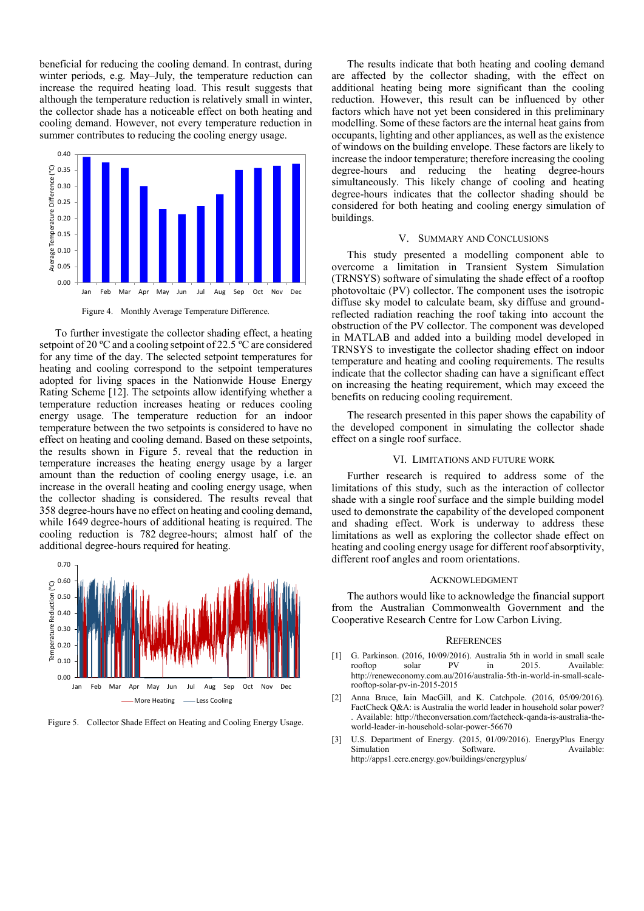beneficial for reducing the cooling demand. In contrast, during winter periods, e.g. May–July, the temperature reduction can increase the required heating load. This result suggests that although the temperature reduction is relatively small in winter, the collector shade has a noticeable effect on both heating and cooling demand. However, not every temperature reduction in summer contributes to reducing the cooling energy usage.



Figure 4. Monthly Average Temperature Difference.

To further investigate the collector shading effect, a heating setpoint of 20 ºC and a cooling setpoint of 22.5 ºC are considered for any time of the day. The selected setpoint temperatures for heating and cooling correspond to the setpoint temperatures adopted for living spaces in the Nationwide House Energy Rating Scheme [12]. The setpoints allow identifying whether a temperature reduction increases heating or reduces cooling energy usage. The temperature reduction for an indoor temperature between the two setpoints is considered to have no effect on heating and cooling demand. Based on these setpoints, the results shown in Figure 5. reveal that the reduction in temperature increases the heating energy usage by a larger amount than the reduction of cooling energy usage, i.e. an increase in the overall heating and cooling energy usage, when the collector shading is considered. The results reveal that 358 degree-hours have no effect on heating and cooling demand, while 1649 degree-hours of additional heating is required. The cooling reduction is 782 degree-hours; almost half of the additional degree-hours required for heating.



Figure 5. Collector Shade Effect on Heating and Cooling Energy Usage.

The results indicate that both heating and cooling demand are affected by the collector shading, with the effect on additional heating being more significant than the cooling reduction. However, this result can be influenced by other factors which have not yet been considered in this preliminary modelling. Some of these factors are the internal heat gains from occupants, lighting and other appliances, as well as the existence of windows on the building envelope. These factors are likely to increase the indoor temperature; therefore increasing the cooling degree-hours and reducing the heating degree-hours simultaneously. This likely change of cooling and heating degree-hours indicates that the collector shading should be considered for both heating and cooling energy simulation of buildings.

#### V. SUMMARY AND CONCLUSIONS

This study presented a modelling component able to overcome a limitation in Transient System Simulation (TRNSYS) software of simulating the shade effect of a rooftop photovoltaic (PV) collector. The component uses the isotropic diffuse sky model to calculate beam, sky diffuse and groundreflected radiation reaching the roof taking into account the obstruction of the PV collector. The component was developed in MATLAB and added into a building model developed in TRNSYS to investigate the collector shading effect on indoor temperature and heating and cooling requirements. The results indicate that the collector shading can have a significant effect on increasing the heating requirement, which may exceed the benefits on reducing cooling requirement.

The research presented in this paper shows the capability of the developed component in simulating the collector shade effect on a single roof surface.

## VI. LIMITATIONS AND FUTURE WORK

Further research is required to address some of the limitations of this study, such as the interaction of collector shade with a single roof surface and the simple building model used to demonstrate the capability of the developed component and shading effect. Work is underway to address these limitations as well as exploring the collector shade effect on heating and cooling energy usage for different roof absorptivity, different roof angles and room orientations.

#### ACKNOWLEDGMENT

The authors would like to acknowledge the financial support from the Australian Commonwealth Government and the Cooperative Research Centre for Low Carbon Living.

#### **REFERENCES**

- [1] G. Parkinson. (2016, 10/09/2016). Australia 5th in world in small scale rooftop solar  $PV$  in 2015. Available: rooftop solar PV in 2015. Available: http://reneweconomy.com.au/2016/australia-5th-in-world-in-small-scalerooftop-solar-pv-in-2015-2015
- [2] Anna Bruce, Iain MacGill, and K. Catchpole. (2016, 05/09/2016). FactCheck Q&A: is Australia the world leader in household solar power? . Available: http://theconversation.com/factcheck-qanda-is-australia-theworld-leader-in-household-solar-power-56670
- [3] U.S. Department of Energy. (2015, 01/09/2016). EnergyPlus Energy Simulation http://apps1.eere.energy.gov/buildings/energyplus/